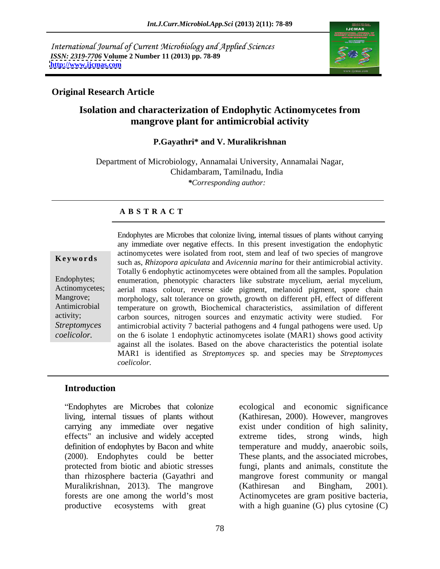International Journal of Current Microbiology and Applied Sciences *ISSN: 2319-7706* **Volume 2 Number 11 (2013) pp. 78-89 <http://www.ijcmas.com>**



# **Original Research Article**

# **Isolation and characterization of Endophytic Actinomycetes from mangrove plant for antimicrobial activity**

#### **P.Gayathri\* and V. Muralikrishnan**

Department of Microbiology, Annamalai University, Annamalai Nagar, Chidambaram, Tamilnadu, India *\*Corresponding author:*

## **A B S T R A C T**

**Ke ywo rds** such as, *Rhizopora apiculata* and *Avicennia marina* for their antimicrobial activity. Endophytes; enumeration, phenotypic characters like substrate mycelium, aerial mycelium, Actinomycetes; aerial mass colour, reverse side pigment, melanoid pigment, spore chain Mangrove; morphology, salt tolerance on growth, growth on different pH, effect of different Antimicrobial temperature on growth, Biochemical characteristics, assimilation of different activity; carbon sources, nitrogen sources and enzymatic activity were studied. For *Streptomyces*  antimicrobial activity 7 bacterial pathogens and 4 fungal pathogens were used. Up Endophytes are Microbes that colonize living, internal tissues of plants without carrying<br>any immediate over regative effects. In this present investigation the endophytic<br>action root, stem and leaf of two species of manyo any immediate over negative effects. In this present investigation the endophytic actinomycetes were isolated from root, stem and leaf of two species of mangrove Totally 6 endophytic actinomycetes were obtained from all the samples. Population on the 6 isolate 1 endophytic actinomycetes isolate (MAR1) showsgood activity against all the isolates. Based on the above characteristics the potential isolate MAR1 is identified as *Streptomyces* sp. and species may be *Streptomyces coelicolor.*

# **Introduction**

living, internal tissues of plants without carrying any immediate over negative exist under condition of high salinity, effects" an inclusive and widely accepted extreme tides, strong winds, high definition of endophytes by Bacon and white temperature and muddy, anaerobic soils, (2000). Endophytes could be better These plants, and the associated microbes, protected from biotic and abiotic stresses fungi, plants and animals, constitute the than rhizosphere bacteria (Gayathri and mangrove forest community or mangal Muralikrishnan, 2013). The mangrove (Kathiresan and Bingham, 2001). forests are one among the world's most Actinomycetes are gram positive bacteria,

Endophytes are Microbes that colonize ecological and economic significance productive ecosystems with great with a high guanine (G) plus cytosine (C) (Kathiresan, 2000). However, mangroves extreme tides, strong winds, high (Kathiresan and Bingham, 2001).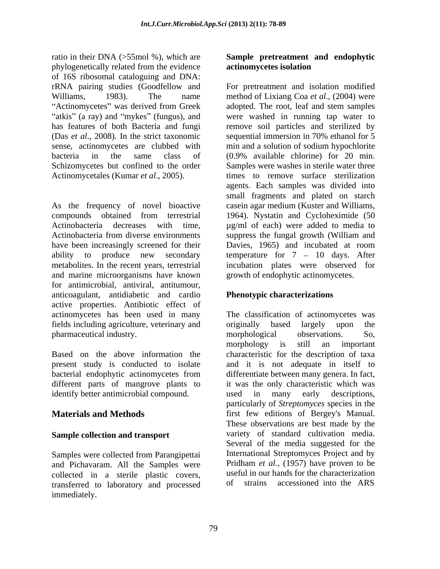ratio in their DNA (>55mol %), which are **Sample pretreatment and endophytic** phylogenetically related from the evidence of 16S ribosomal cataloguing and DNA: rRNA pairing studies (Goodfellow and For pretreatment and isolation modified Williams, 1983). The name method of Lixiang Coa *et al.*, (2004) were "Actinomycetes" was derived from Greek has features of both Bacteria and fungi remove soil particles and sterilized by (Das *et al*., 2008). In the strict taxonomic sense, actinomycetes are clubbed with min and a solution of sodium hypochlorite bacteria in the same class of (0.9% available chlorine) for 20 min. Schizomycetes but confined to the order Samples were washes in sterile water three Actinomycetales (Kumar *et al*., 2005). times to remove surface sterilization

As the frequency of novel bioactive casein agar medium (Kuster and Williams, compounds obtained from terrestrial 1964). Nystatin and Cycloheximide (50 Actinobacteria decreases with time,  $\mu$ g/ml of each) were added to media to Actinobacteria from diverse environments suppress the fungal growth (William and have been increasingly screened for their Davies, 1965) and incubated at room ability to produce new secondary temperature for  $7 - 10$  days. After metabolites. In the recent years, terrestrial and marine microorganisms have known for antimicrobial, antiviral, antitumour, anticoagulant, antidiabetic and cardio active properties. Antibiotic effect of actinomycetes has been used in many The classification of actinomycetes was fields including agriculture, veterinary and pharmaceutical industry.

identify better antimicrobial compound. The used in many early descriptions,

# **Sample collection and transport**

Samples were collected from Parangipettai and Pichavaram. All the Samples were collected in a sterile plastic covers, useful in our l<br>transferred to laboratory and processed of strains transferred to laboratory and processed immediately.

# **actinomycetes isolation**

atkis" (a ray) and "mykes" (fungus), and were washed in running tap water to adopted. The root, leaf and stem samples sequential immersion in 70% ethanol for 5 min and a solution of sodium hypochlorite agents. Each samples was divided into small fragments and plated on starch Davies, 1965) and incubated at room incubation plates were observed for growth of endophytic actinomycetes.

# **Phenotypic characterizations**

Based on the above information the characteristic for the description of taxa present study is conducted to isolate and it is not adequate in itself to bacterial endophytic actinomycetes from differentiate between many genera. In fact, different parts of mangrove plants to it was the only characteristic which was **Materials and Methods** first few editions of Bergey's Manual. originally based largely upon the morphological observations. So, morphology is still an important used in many early descriptions, particularly of *Streptomyces* species in the These observations are best made by the variety of standard cultivation media. Several of the media suggested for the International Streptomyces Project and by Pridham *et al.,* (1957) have proven to be useful in our hands for the characterization accessioned into the ARS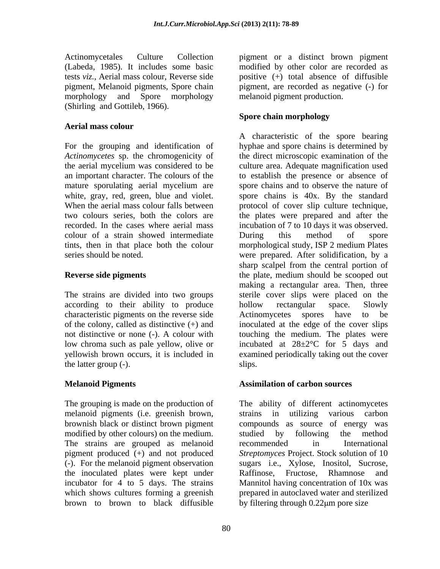Actinomycetales Culture Collection pigment or a distinct brown pigment (Labeda, 1985). It includes some basic modified by other color are recorded as tests *viz.,* Aerial mass colour, Reverse side positive (+) total absence of diffusible pigment, Melanoid pigments, Spore chain pigment, are recorded as negative (-) for morphology and Spore morphology (Shirling and Gottileb, 1966).

### **Aerial mass colour**

colour of a strain showed intermediate During this method of spore

according to their ability to produce bollow rectangular space. Slowly characteristic pigments on the reverse side Actinomycetes spores have to be the latter group (-).

The grouping is made on the production of melanoid pigments (i.e. greenish brown, modified by other colours) on the medium. Studied by following the method The strains are grouped as melanoid recommended in International the inoculated plates were kept under Raffinose, Fructose, Rhamnose and brown to brown to black diffusible by filtering through 0.22 um pore size

melanoid pigment production.

### **Spore chain morphology**

For the grouping and identification of hyphae and spore chains is determined by *Actinomycetes* sp. the chromogenicity of the direct microscopic examination of the the aerial mycelium was considered to be culture area. Adequate magnification used an important character. The colours of the to establish the presence or absence of mature sporulating aerial mycelium are spore chains and to observe the nature of white, gray, red, green, blue and violet. spore chains is 40x. By the standard When the aerial mass colour falls between protocol of cover slip culture technique, two colours series, both the colors are the plates were prepared and after the recorded. In the cases where aerial mass incubation of 7 to 10 days it was observed. tints, then in that place both the colour morphological study, ISP 2 medium Plates series should be noted. were prepared. After solidification, by a **Reverse side pigments** the plate, medium should be scooped out The strains are divided into two groups sterile cover slips were placed on the of the colony, called as distinctive (+) and inoculated at the edge of the cover slips not distinctive or none (-). A colour with touching the medium. The plates were low chroma such as pale yellow, olive or incubated at 28±2°C for 5 days and yellowish brown occurs, it is included in examined periodically taking out the cover A characteristic of the spore bearing During this method of spore sharp scalpel from the central portion of making a rectangular area. Then, three hollow rectangular space. Slowly Actinomycetes spores have to be slips.

### **Melanoid Pigments Assimilation of carbon sources**

brownish black or distinct brown pigment compounds as source of energy was pigment produced (+) and not produced *Streptomyces* Project. Stock solution of 10 (-). For the melanoid pigment observation sugars i.e., Xylose, Inositol, Sucrose, incubator for 4 to 5 days. The strains Mannitol having concentration of 10x was which shows cultures forming a greenish prepared in autoclaved water and sterilized The ability of different actinomycetes strains in utilizing various carbon studied by following the method recommended in International Raffinose, Fructose, Rhamnose and by filtering through  $0.22 \mu m$  pore size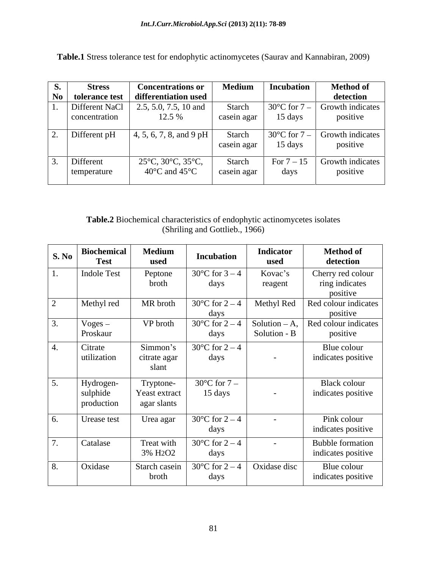| <b>Stress</b>  | <b>Concentrations or</b>                          | <b>Medium</b> | Incubation | <b>Method of</b>                                         |
|----------------|---------------------------------------------------|---------------|------------|----------------------------------------------------------|
|                | No   tolerance test   differentiation used        |               |            | detection                                                |
| Different NaCl | $2.5, 5.0, 7.5, 10$ and                           | Starch        |            | $\vert$ 30°C for 7 – Growth indicates $\vert$            |
| concentration  | 12.5 %                                            | casein agar   | 15 days    | positive                                                 |
| Different pH   | $\vert$ 4, 5, 6, 7, 8, and 9 pH                   | Starch        |            | $\left  30^{\circ}$ C for $7 - \right $ Growth indicates |
|                |                                                   | casein agar   | 15 days    | positive                                                 |
| Different      | $25^{\circ}$ C, 30 $^{\circ}$ C, 35 $^{\circ}$ C, | Starch        |            | For $7-15$ Growth indicates                              |
| temperature    | 40 $\rm{^{\circ}C}$ and 45 $\rm{^{\circ}C}$       | casein agar   | days       | positive                                                 |

**Table.1** Stress tolerance test for endophytic actinomycetes (Saurav and Kannabiran, 2009)

# **Table.2** Biochemical characteristics of endophytic actinomycetes isolates (Shriling and Gottlieb., 1966)

| S. No | <b>Biochemical</b><br><b>Test</b>   | <b>Medium</b><br>used                          | <b>Incubation</b>                               | <b>Indicator</b><br>used        | <b>Method of</b><br>detection                 |
|-------|-------------------------------------|------------------------------------------------|-------------------------------------------------|---------------------------------|-----------------------------------------------|
|       | <b>Indole Test</b>                  | Peptone<br>broth                               | $30^{\circ}$ C for 3 – 4<br>days                | Kovac's<br>reagent              | Cherry red colour<br>ring indicates           |
|       |                                     |                                                |                                                 |                                 | positive                                      |
|       | Methyl red                          | MR broth                                       | $30^{\circ}$ C for 2 – 4<br>days                | Methyl Red                      | Red colour indicates<br>positive              |
|       | Voges –<br>Proskaur                 | VP broth                                       | $30^{\circ}$ C for 2 – 4<br>days                | Solution $-A$ ,<br>Solution - B | Red colour indicates<br>positive              |
|       | Citrate<br>utilization              | Simmon's<br>citrate agar<br>slant              | $30^{\circ}$ C for 2 – 4<br>days                | $\sim$ $ \sim$                  | Blue colour<br>indicates positive             |
|       | Hydrogen-<br>sulphide<br>production | Tryptone-<br>Yeast extract<br>agar slants      | $30^{\circ}$ C for $7-$<br>15 days              | $\sim$                          | <b>Black colour</b><br>indicates positive     |
|       | Urease test                         | Urea agar                                      | $30^{\circ}$ C for 2 – 4<br>days                | $\sim$                          | Pink colour<br>indicates positive             |
|       | Catalase                            | Treat with<br>3% H <sub>2</sub> O <sub>2</sub> | 30 $^{\circ}$ C for 2 – 4<br>days               | $\sim$ $ \sim$                  | <b>Bubble formation</b><br>indicates positive |
|       | Oxidase                             | Starch casein<br>broth                         | $30^{\circ}$ C for 2 – 4   Oxidase disc<br>days |                                 | Blue colour<br>indicates positive             |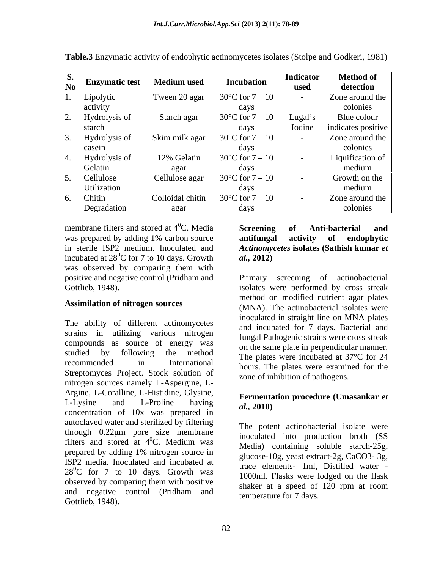| d.<br><b>Enzymatic test</b><br>No <sub>1</sub>   | Medium used      | <b>Incubation</b>           | Indicator<br>used | <b>Method of</b><br>detection |
|--------------------------------------------------|------------------|-----------------------------|-------------------|-------------------------------|
| Lipolytic                                        | Tween 20 agar    | $30^{\circ}$ C for $7 - 10$ |                   | Zone around the               |
| activity                                         |                  | davs                        |                   | colonies                      |
| Hydrolysis of                                    | Starch agar      | $30^{\circ}$ C for $7 - 10$ | Lugal'            | Blue colour                   |
| starch                                           |                  | davs                        | Iodine            | indicates positive            |
| Hydrolysis of                                    | Skim milk agar   | $30^{\circ}$ C for $7 - 10$ |                   | Zone around the               |
| casein                                           |                  | davs                        |                   | colonies                      |
| the contract of the contract of<br>Hydrolysis of | 12% Gelatin      | $30^{\circ}$ C for $7 - 10$ |                   | Liquification of              |
| Gelatin                                          | agar             | davs                        |                   | medium                        |
| Cellulose                                        | Cellulose agar   | $30^{\circ}$ C for $7 - 10$ |                   | Growth on the                 |
| <b>Utilization</b>                               |                  | davs                        |                   | medium                        |
| _______<br>Chitin                                | Colloidal chitin | 30 $^{\circ}$ C for 7 – 10  |                   | Zone around the               |
| Degradation                                      | agar             | days                        |                   | colonies                      |

**Table.3** Enzymatic activity of endophytic actinomycetes isolates (Stolpe and Godkeri, 1981)

membrane filters and stored at  $4^0$ C. Media Screening of Anti-bacterial and was prepared by adding 1% carbon source **antifungal activity of endophytic** in sterile ISP2 medium. Inoculated and *Actinomycetes* **isolates (Sathish kumar** *et*  incubated at  $28^0C$  for 7 to 10 days. Growth *al.*, 2012) was observed by comparing them with positive and negative control (Pridham and

### **Assimilation of nitrogen sources**

The ability of different actinomycetes strains in utilizing various nitrogen compounds as source of energy was Streptomyces Project. Stock solution of nitrogen sources namely L-Aspergine, L- Argine, L-Coralline, L-Histidine, Glysine, L-Lysine and L-Proline having  $\frac{1}{aI}$   $\frac{2010}{aI}$  $c$ -Lysing and L-Frome naving  $al$ , 2010)<br>concentration of 10x was prepared in autoclaved water and sterilized by filtering through  $0.22 \mu m$  pore size membrane filters and stored at  $4^0C$ . Medium was prepared by adding 1% nitrogen source in ISP2 media. Inoculated and incubated at  $28^{\circ}$ C for 7 to 10 days. Growth was observed by comparing them with positive and negative control (Pridham and Gottlieb, 1948).

### ${}^{0}$ C. Media Screening of Anti-bacterial and **Screening of Anti-bacterial and antifungal activity of endophytic**  *al.,* **2012)**

Gottlieb, 1948). isolates were performed by cross streak studied by following the method The plates were incubated at  $37^{\circ}$ C for 24 recommended in International hours. The plates were examined for the State of the State of the State of the State of the State of the State of the State of the State of the State of the State of the State of the State of t screening of actinobacterial method on modified nutrient agar plates (MNA). The actinobacterial isolates were inoculated in straight line on MNA plates and incubated for 7 days. Bacterial and fungal Pathogenic strains were cross streak on the same plate in perpendicular manner. zone of inhibition of pathogens.

### **Fermentation procedure (Umasankar** *et al.,* **2010)**

 ${}^{0}C$ . Medium was  ${}^{11}$   $^{110}$   $^{100}$   $^{100}$   $^{100}$   $^{100}$   $^{100}$   $^{100}$   $^{100}$   $^{100}$   $^{100}$ The potent actinobacterial isolate were inoculated into production broth (SS Media) containing soluble starch-25g, glucose-10g, yeast extract-2g, CaCO3- 3g, trace elements- 1ml, Distilled water - 1000ml. Flasks were lodged on the flask shaker at a speed of 120 rpm at room temperature for 7 days.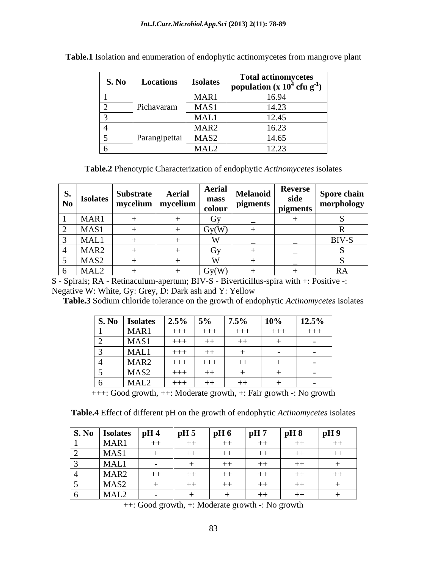| S. No | Locations     | <b>Isolates</b>  | <b>Total actinomycetes</b><br>  population $(x 10^4 \text{ cfu g}^{-1})$ |
|-------|---------------|------------------|--------------------------------------------------------------------------|
|       |               | MAR1             | LV. 24                                                                   |
|       | Pichavaram    | MAS1             | 1.4.22<br>ر ∠.⊾ ا                                                        |
|       |               | MAL1             | 1015                                                                     |
|       |               | MAR <sub>2</sub> | 16.23<br>10.ZJ                                                           |
|       | Parangipettai | MAS2             | 14.65                                                                    |
|       |               | MAL2             | 12.23<br>14.4J                                                           |

**Table.1** Isolation and enumeration of endophytic actinomycetes from mangrove plant

**Table.2** Phenotypic Characterization of endophytic *Actinomycetes* isolates

| $\left \begin{array}{c} .5 \ \text{No} \end{array}\right $ Isolates | Substrate |          |       | ahiə | Aerial $\left \begin{array}{c c} \text{Aerial} \\ \text{mass} \end{array}\right $ Melanoid $\left \begin{array}{c c} \text{Reverse} \\ \text{side} \end{array}\right $ Spore chain |
|---------------------------------------------------------------------|-----------|----------|-------|------|------------------------------------------------------------------------------------------------------------------------------------------------------------------------------------|
|                                                                     | mycelium  | ∣ mvceh. |       |      | morphology                                                                                                                                                                         |
| MAR1                                                                |           |          |       |      |                                                                                                                                                                                    |
| MAS1                                                                |           |          | Gv(W  |      |                                                                                                                                                                                    |
| MAL1                                                                |           |          |       |      | BIV-S                                                                                                                                                                              |
| MAR <sub>2</sub>                                                    |           |          |       |      |                                                                                                                                                                                    |
| MAS <sub>2</sub>                                                    |           |          |       |      |                                                                                                                                                                                    |
| ______<br>MAL <sub>2</sub>                                          |           |          | Gv(W) |      |                                                                                                                                                                                    |

S - Spirals; RA - Retinaculum-apertum; BIV-S - Biverticillus-spira with +: Positive -: Negative W: White, Gy: Grey, D: Dark ash and Y: Yellow

**Table.3** Sodium chloride tolerance on the growth of endophytic *Actinomycetes* isolates

|                                                 | $\vert$ S. No $\vert$ Isolates   | $12.5\%$   $5\%$ | $7.5\%$  | the contract of the contract of the contract of the contract of the contract of the contract of the contract of<br>$\vert$ 10% | $12.5\%$                                        |
|-------------------------------------------------|----------------------------------|------------------|----------|--------------------------------------------------------------------------------------------------------------------------------|-------------------------------------------------|
|                                                 | MAR1                             |                  |          | $++++$                                                                                                                         | $- + + +$<br>$\sim$ $\sim$ $\sim$ $\sim$<br>ナナナ |
| the control of the control of the               | MAS1                             |                  | $++$     | キキー                                                                                                                            |                                                 |
|                                                 | l MAI                            | +++              |          |                                                                                                                                |                                                 |
| the contract of the contract of the contract of | MAR <sub>2</sub>                 |                  | -----    | $\cdots$                                                                                                                       | and the contract of the contract of             |
|                                                 | MAS2<br>$\overline{\phantom{a}}$ |                  |          |                                                                                                                                |                                                 |
|                                                 | I MAL2                           | +++              | .<br>ーキー | the contract of the contract of                                                                                                | <b>Contract Contract Contract Contract</b>      |

+++: Good growth, ++: Moderate growth, +: Fair growth -: No growth

**Table.4** Effect of different pH on the growth of endophytic *Actinomycetes* isolates

| S. No Isolates   | $ $ pH 4 | pH5  | pH 6    | pH7   | pH8 | pH9                 |
|------------------|----------|------|---------|-------|-----|---------------------|
| MAR1             | キキ       | ーキキー | $+ +$   | $+ +$ |     | $\sim$ $\sim$<br>キキ |
| MAS1             |          | $++$ |         |       |     | $++$                |
| MAL1             |          |      |         |       |     |                     |
| MAR <sub>2</sub> | $++$     | $++$ | $^{++}$ | $-+$  |     | キキ                  |
| MAS <sub>2</sub> |          | $++$ | $+ +$   | $+ +$ |     |                     |
| MAL <sub>2</sub> |          |      |         | $+ +$ | ——  |                     |

++: Good growth, +: Moderate growth -: No growth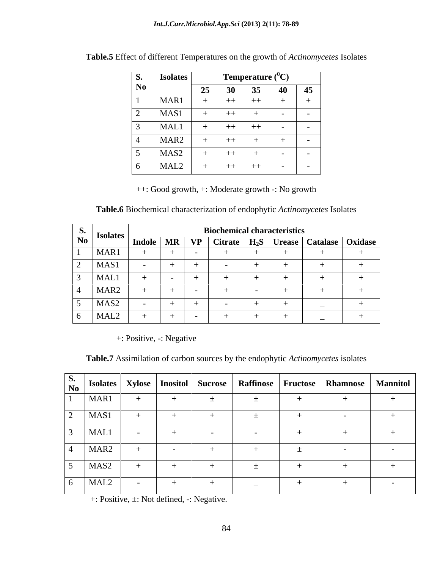| <b>S.</b>      | - 1<br><b>Isolates</b> |    |      | <b>Temperature</b> $(^0C)$ |               |               |
|----------------|------------------------|----|------|----------------------------|---------------|---------------|
| N <sub>0</sub> |                        | 25 | 30   | 35                         | 40            | 45            |
|                | MAR1                   |    | $++$ | $++$                       |               | —             |
| ∼              | MAS1                   | —  | $++$ |                            | $\sim$ $\sim$ | $\sim$ $\sim$ |
|                | MAL1                   |    | $++$ | $++$                       | $\sim$ $-$    | $\sim$ $-$    |
|                | MAR <sub>2</sub>       |    | $++$ |                            |               |               |
|                | MAS <sub>2</sub>       | -  | $++$ |                            | $\sim$        | $\sim$ $\sim$ |
|                | MAL <sub>2</sub>       |    | $++$ | $++$                       | $\sim$ $\sim$ | $\sim$ $\sim$ |

| Table.5 Effect of different Temperatures on the growth of <i>Actinomycetes</i> Isolates |  |
|-----------------------------------------------------------------------------------------|--|
|                                                                                         |  |

++: Good growth, +: Moderate growth -: No growth

**Table.6** Biochemical characterization of endophytic *Actinomycetes* Isolates

| <b>S.</b> |                                                                            | <b>Biochemical characteristics</b> |  |  |  |  |  |                                                                             |  |  |  |  |  |
|-----------|----------------------------------------------------------------------------|------------------------------------|--|--|--|--|--|-----------------------------------------------------------------------------|--|--|--|--|--|
|           | $\begin{array}{c c} \hline \text{No} & \text{Isolates} \vdash \end{array}$ |                                    |  |  |  |  |  | Indole   MR   VP   Citrate   H <sub>2</sub> S   Urease   Catalase   Oxidase |  |  |  |  |  |
|           | MAR1                                                                       |                                    |  |  |  |  |  |                                                                             |  |  |  |  |  |
|           | MAS1                                                                       |                                    |  |  |  |  |  |                                                                             |  |  |  |  |  |
|           | MAL1                                                                       |                                    |  |  |  |  |  |                                                                             |  |  |  |  |  |
|           | MAR <sub>2</sub>                                                           |                                    |  |  |  |  |  |                                                                             |  |  |  |  |  |
|           | MAS <sub>2</sub>                                                           |                                    |  |  |  |  |  |                                                                             |  |  |  |  |  |
|           | MAL <sub>2</sub>                                                           |                                    |  |  |  |  |  |                                                                             |  |  |  |  |  |

+: Positive, -: Negative

**Table.7** Assimilation of carbon sources by the endophytic *Actinomycetes* isolates

| MAR1             |  | $\mathbf{r}$             |  |  |
|------------------|--|--------------------------|--|--|
| MAS1             |  | $\overline{\phantom{0}}$ |  |  |
| MAL1             |  |                          |  |  |
| MAR <sub>2</sub> |  |                          |  |  |
| MAS <sub>2</sub> |  |                          |  |  |
| MAL <sub>2</sub> |  | $\overline{\phantom{0}}$ |  |  |

+: Positive, ±: Not defined, -: Negative.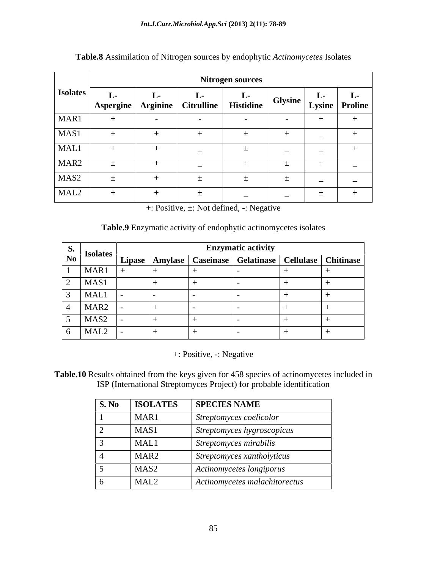|                  |                                                                  | <b>Nitrogen sources</b> |                          |                  |                          |                          |                                      |  |  |  |  |  |  |  |
|------------------|------------------------------------------------------------------|-------------------------|--------------------------|------------------|--------------------------|--------------------------|--------------------------------------|--|--|--|--|--|--|--|
| <b>Isolates</b>  | $\mathbf{L}$<br>  Aspergine   Arginine   Citrulline <sub> </sub> | $L^-$                   |                          | <b>Histidine</b> |                          |                          | " idine   Glysine   Lysine   Proline |  |  |  |  |  |  |  |
| MAR1             |                                                                  |                         |                          |                  | $\sim$                   |                          |                                      |  |  |  |  |  |  |  |
| MAS1             | ÷                                                                |                         |                          |                  | - 1                      | $\overline{\phantom{a}}$ |                                      |  |  |  |  |  |  |  |
| MAL1             |                                                                  |                         | $\sim$                   |                  | $\overline{\phantom{0}}$ | $\overline{\phantom{0}}$ |                                      |  |  |  |  |  |  |  |
| MAR <sub>2</sub> |                                                                  |                         | $\overline{\phantom{0}}$ |                  |                          |                          | $\overline{\phantom{0}}$             |  |  |  |  |  |  |  |
| MAS <sub>2</sub> | —                                                                |                         | —                        |                  |                          | $\overline{\phantom{0}}$ | $\sim$                               |  |  |  |  |  |  |  |
| MAL <sub>2</sub> |                                                                  |                         | . <u>.</u>               |                  | $\overline{\phantom{0}}$ | —                        | $-$                                  |  |  |  |  |  |  |  |

**Table.8** Assimilation of Nitrogen sources by endophytic *Actinomycetes* Isolates

+: Positive, ±: Not defined, -: Negative

#### **Table.9** Enzymatic activity of endophytic actinomycetes isolates

|                                                | <b>Isolates</b>  |  | <b>Enzymatic activity</b>                                         |  |
|------------------------------------------------|------------------|--|-------------------------------------------------------------------|--|
| $\begin{array}{c} S. \\ \text{No} \end{array}$ |                  |  | Lipase   Amylase   Caseinase   Gelatinase   Cellulase   Chitinase |  |
|                                                | MAR1             |  |                                                                   |  |
|                                                | MAS1             |  |                                                                   |  |
|                                                | MAL1             |  |                                                                   |  |
|                                                | MAR <sub>2</sub> |  |                                                                   |  |
|                                                | MAS <sub>2</sub> |  |                                                                   |  |
|                                                | MAL2             |  |                                                                   |  |

+: Positive, -: Negative

**Table.10** Results obtained from the keys given for 458 species of actinomycetes included in ISP (International Streptomyces Project) for probable identification

| S. No | <b>ISOLATES</b>  | <b>SPECIES NAME</b>           |
|-------|------------------|-------------------------------|
|       | MAR1             | Streptomyces coelicolor       |
|       | MAS1             | Streptomyces hygroscopicus    |
|       | <b>MAL1</b>      | Streptomyces mirabilis        |
|       | MAR <sub>2</sub> | Streptomyces xantholyticus    |
|       | MAS <sub>2</sub> | Actinomycetes longiporus      |
|       | MAL <sub>2</sub> | Actinomycetes malachitorectus |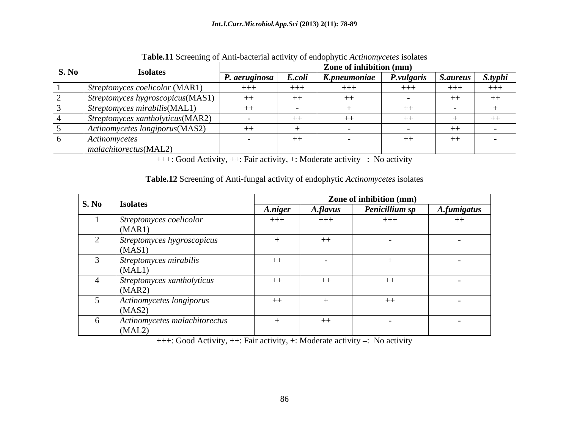|       | <b>TWORVER SCIUDING</b> OF THEIR CHURCHES HULLING OF UNLOCATION INCREDIBLY |               |        |                         |                   |                 |         |
|-------|----------------------------------------------------------------------------|---------------|--------|-------------------------|-------------------|-----------------|---------|
| S. No |                                                                            |               |        | Zone of inhibition (mm) |                   |                 |         |
|       | <b>Isolates</b>                                                            | P. aeruginosa | E.coli | K.pneumoniae            | <i>P.vulgaris</i> | <i>S.aureus</i> | S.typhi |
|       | Streptomyces coelicolor (MAR1)                                             | $+++$         | $+++$  | $++++$                  | $+++$             | $^{+++}$<br>.   | $+++$   |
|       | Streptomyces hygroscopicus(MAS1)                                           |               | $++$   | $^{++}$                 |                   |                 | $++$    |
|       | $\vert$ Streptomyces mirabilis(MAL1)                                       |               |        |                         |                   |                 |         |
|       | Streptomyces xantholyticus(MAR2)                                           |               | $++$   |                         |                   |                 | $++$    |
|       | Actinomycetes longiporus(MAS2)                                             | $++$          |        |                         |                   |                 |         |
|       | Actinomycetes                                                              |               | $++$   |                         | $+ +$             | $+ +$           |         |
|       | malachitorectus(MAL2)                                                      |               |        |                         |                   |                 |         |

**Table.11** Screening of Anti-bacterial activity of endophytic *Actinomycetes* isolates

+++: Good Activity, ++: Fair activity, +: Moderate activity -: No activity

#### **Table.12** Screening of Anti-fungal activity of endophytic *Actinomycetes* isolates

|       |                                         |         |          | Zone of inhibition (mm) |                    |
|-------|-----------------------------------------|---------|----------|-------------------------|--------------------|
| S. No | <b>Isolates</b>                         | A.niger | A.flavus | Penicillium sp          | <b>A.fumigatus</b> |
|       | Streptomyces coelicolor<br>(MAR1)       | $+++$   | $++++$   | $+++$                   | $++$               |
|       | Streptomyces hygroscopicus<br>(MAS1)    |         | $++$     |                         |                    |
|       | Streptomyces mirabilis<br>(MAL1)        | $++$    |          |                         |                    |
|       | Streptomyces xantholyticus<br>(MAR2)    | $++$    | $++$     | $++$                    |                    |
|       | Actinomycetes longiporus<br>(MAS2)      | $++$    |          | $++$                    |                    |
|       | Actinomycetes malachitorectus<br>(MAL2) |         | $++$     |                         |                    |

+++: Good Activity, ++: Fair activity, +: Moderate activity -: No activity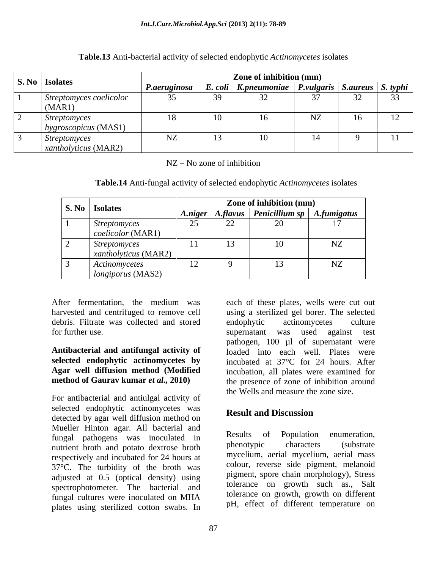|                                                     |                                           | Zone of inhibition (mm)                                          |        |    |    |
|-----------------------------------------------------|-------------------------------------------|------------------------------------------------------------------|--------|----|----|
| S. No   Isolates                                    | P.aeruginosa                              | <i>E. coli</i>   K.pneumoniae   P.vulgaris   S.aureus   S. typhi |        |    |    |
| Streptomyces coelicolor<br>(MAR1)                   | $\sim$ $\sim$<br>$\overline{\phantom{a}}$ |                                                                  | $\sim$ |    |    |
| <i>Streptomyces</i><br>hygroscopicus (MAS1)         |                                           |                                                                  | NZ.    | 16 | 12 |
| <i>Streptomyces</i><br>$\vert$ xantholyticus (MAR2) | NZ                                        |                                                                  |        |    |    |

#### **Table.13** Anti-bacterial activity of selected endophytic *Actinomycetes* isolates

 $NZ - No$  zone of inhibition

| Table.14 An<br>activity of selected endophytic Acunomic<br><i>\ct\nomvcetes \</i> solates<br>1t1-funga |  |
|--------------------------------------------------------------------------------------------------------|--|
|                                                                                                        |  |

| S. No Isolates                              |                               |           | Zone of inhibition (mm)                        |                   |
|---------------------------------------------|-------------------------------|-----------|------------------------------------------------|-------------------|
|                                             | A.niger                       |           | $\mid$ A.flavus   Penicillium sp   A.fumigatus |                   |
| <i>Streptomyces</i><br> coelicolor(MAR1)    | $\sim$ $\sim$<br>25           | -         | $\overline{\phantom{0}}$                       |                   |
| <i>Streptomyces</i><br>xantholyticus (MAR2) | $\sim$ $\sim$<br>. .          | <b>10</b> |                                                | <b>AT7</b><br>15L |
| Actinomycetes<br>$\logiporus$ (MAS2)        | $1^{\circ}$<br>$\overline{ }$ |           |                                                | NZ                |

debris. Filtrate was collected and stored endophytic actinomycetes culture

For antibacterial and antiulgal activity of selected endophytic actinomycetes was<br>Result and Discussion detected by agar well diffusion method on Mueller Hinton agar. All bacterial and<br>funcal pathogons was incoulated in Results of Population enumeration, fungal pathogens was inoculated in Results of Population enumeration,<br>printing pathogens was inoculated in Results of Population enumeration, nutrient broth and potato dextrose broth respectively and incubated for 24 hours at 37°C. The turbidity of the broth was adjusted at 0.5 (optical density) using spectrophotometer. The bacterial and fungal cultures were inoculated on MHA plates using sterilized cotton swabs. In

After fermentation, the medium was each of these plates, wells were cut out harvested and centrifuged to remove cell using a sterilized gel borer. The selected for further use. supernatant was used against test **Antibacterial and antifungal activity of**  loaded into each well. Plates were **selected endophytic actinomycetes by**  incubated at 37°C for 24 hours. After **Agar well diffusion method (Modified** incubation, all plates were examined for **method of Gaurav kumar** *et al.***, 2010**) the presence of zone of inhibition around endophytic actinomycetes culture pathogen, 100 µl of supernatant were the Wells and measure the zone size.

# **Result and Discussion**

Results of Population enumeration, phenotypic characters (substrate mycelium, aerial mycelium, aerial mass colour, reverse side pigment, melanoid pigment, spore chain morphology), Stress tolerance on growth such as., Salt tolerance on growth, growth on different pH, effect of different temperature on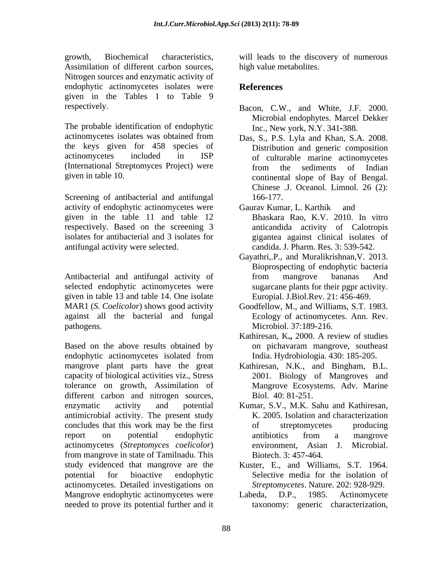growth, Biochemical characteristics, will leads to the discovery of numerous Assimilation of different carbon sources, high value metabolites. Nitrogen sources and enzymatic activity of endophytic actinomycetes isolates were **References** given in the Tables 1 to Table 9

The probable identification of endophytic actinomycetes isolates was obtained from the keys given for 458 species of actinomycetes included in ISP of culturable marine actinomycetes (International Streptomyces Project) were

Screening of antibacterial and antifungal 166-177. activity of endophytic actinomycetes were Gaurav Kumar, L. Karthik and given in the table 11 and table 12 isolates for antibacterial and 3 isolates for

Antibacterial and antifungal activity of from mangrove bananas And selected endophytic actinomycetes were given in table 13 and table 14. One isolate MAR1 (*S. Coelicolor*) shows good activity Goodfellow, M., and Williams, S.T. 1983. against all the bacterial and fungal Ecology of actinomycetes. Ann. Rev. pathogens. Microbiol. 37:189-216.

Based on the above results obtained by endophytic actinomycetes isolated from mangrove plant parts have the great Kathiresan, N.K., and Bingham, B.L. capacity of biological activities viz., Stress tolerance on growth, Assimilation of different carbon and nitrogen sources, Biol. 40: 81-251.<br>
enzymatic activity and potential Kumar, S.V., M.K. Sahu and Kathiresan, antimicrobial activity. The present study concludes that this work may be the first report on potential endophytic actinomycetes (*Streptomyces coelicolor*) from mangrove in state of Tamilnadu. This study evidenced that mangrove are the Kuster, E., and Williams, S.T. 1964. potential for bioactive endophytic actinomycetes. Detailed investigations on Mangrove endophytic actinomycetes were Labeda, D.P., 1985. Actinomycete needed to prove its potential further and it

high value metabolites.

# **References**

- respectively. Bacon, C.W., and White, J.F. 2000. Microbial endophytes. Marcel Dekker Inc., New york, N.Y. 341 388.
- given in table 10. continental slope of Bay of Bengal. Das, S., P.S. Lyla and Khan, S.A. 2008. Distribution and generic composition from the sediments of Indian Chinese .J. Oceanol. Limnol. 26 (2): 166-177.
- respectively. Based on the screening 3 anticandida activity of Calotropis antifungal activity were selected. candida. J. Pharm. Res. 3: 539-542. Gaurav Kumar, L. Karthik Bhaskara Rao, K.V. 2010. In vitro gigantea against clinical isolates of
	- Gayathri,.P., and Muralikrishnan,V. 2013. Bioprospecting of endophytic bacteria from mangrove bananas And sugarcane plants for their pgpr activity. Europial. J.Biol.Rev. 21: 456-469.
	-
	- Kathiresan, K**.,** 2000. A review of studies on pichavaram mangrove, southeast India. Hydrobiologia*.* 430: 185-205.
	- 2001. Biology of Mangroves and Mangrove Ecosystems. Adv. Marine Biol. 40: 81-251.
	- Kumar, S.V., M.K. Sahu and Kathiresan, K. 2005. Isolation and characterization of streptomycetes producing antibiotics from a mangrove environment, Asian J. Microbial. Biotech. 3: 457-464.
	- Kuster, E., and Williams, S.T. 1964. Selective media for the isolation of *Streptomycetes*. Nature. 202: 928-929.
	- Labeda, D.P., 1985. Actinomycete taxonomy: generic characterization,